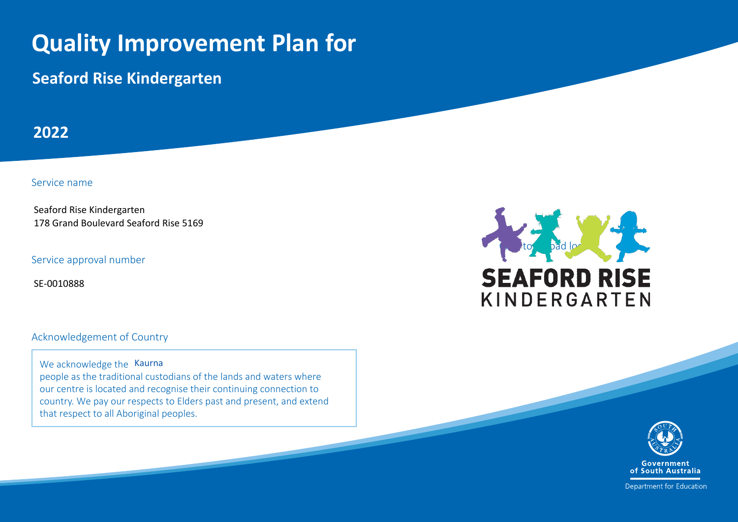## **Quality Improvement Plan for**

**Seaford Rise Kindergarten**

**2022**

Service name

Seaford Rise Kindergarten 178 Grand Boulevard Seaford Rise 5169

Service approval number

SE-0010888

Acknowledgement of Country

We acknowledge the Kaurna people as the traditional custodians of the lands and waters where our centre is located and recognise their continuing connection to country. We pay our respects to Elders past and present, and extend that respect to all Aboriginal peoples.





Department for Education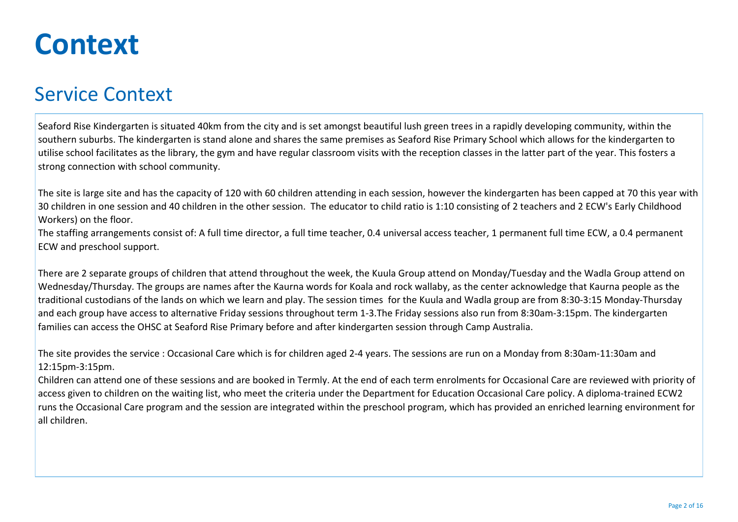## **Context**

### Service Context

Seaford Rise Kindergarten is situated 40km from the city and is set amongst beautiful lush green trees in a rapidly developing community, within the southern suburbs. The kindergarten is stand alone and shares the same premises as Seaford Rise Primary School which allows for the kindergarten to utilise school facilitates as the library, the gym and have regular classroom visits with the reception classes in the latter part of the year. This fosters a strong connection with school community.

The site is large site and has the capacity of 120 with 60 children attending in each session, however the kindergarten has been capped at 70 this year with 30 children in one session and 40 children in the other session. The educator to child ratio is 1:10 consisting of 2 teachers and 2 ECW's Early Childhood Workers) on the floor.

The staffing arrangements consist of: A full time director, a full time teacher, 0.4 universal access teacher, 1 permanent full time ECW, a 0.4 permanent ECW and preschool support.

There are 2 separate groups of children that attend throughout the week, the Kuula Group attend on Monday/Tuesday and the Wadla Group attend on Wednesday/Thursday. The groups are names after the Kaurna words for Koala and rock wallaby, as the center acknowledge that Kaurna people as the traditional custodians of the lands on which we learn and play. The session times for the Kuula and Wadla group are from 8:30-3:15 Monday-Thursday and each group have access to alternative Friday sessions throughout term 1-3.The Friday sessions also run from 8:30am-3:15pm. The kindergarten families can access the OHSC at Seaford Rise Primary before and after kindergarten session through Camp Australia.

The site provides the service : Occasional Care which is for children aged 2-4 years. The sessions are run on a Monday from 8:30am-11:30am and 12:15pm-3:15pm.

Children can attend one of these sessions and are booked in Termly. At the end of each term enrolments for Occasional Care are reviewed with priority of access given to children on the waiting list, who meet the criteria under the Department for Education Occasional Care policy. A diploma-trained ECW2 runs the Occasional Care program and the session are integrated within the preschool program, which has provided an enriched learning environment for all children.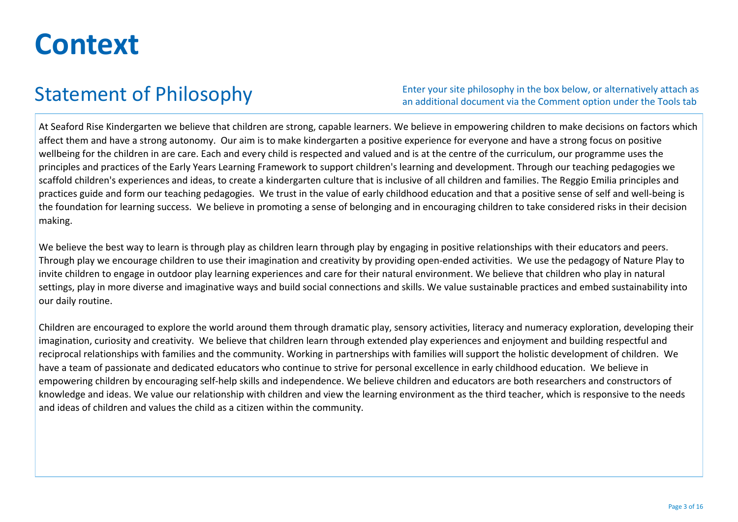## **Context**

### Statement of Philosophy

Enter your site philosophy in the box below, or alternatively attach as an additional document via the Comment option under the Tools tab

At Seaford Rise Kindergarten we believe that children are strong, capable learners. We believe in empowering children to make decisions on factors which affect them and have a strong autonomy. Our aim is to make kindergarten a positive experience for everyone and have a strong focus on positive wellbeing for the children in are care. Each and every child is respected and valued and is at the centre of the curriculum, our programme uses the principles and practices of the Early Years Learning Framework to support children's learning and development. Through our teaching pedagogies we scaffold children's experiences and ideas, to create a kindergarten culture that is inclusive of all children and families. The Reggio Emilia principles and practices guide and form our teaching pedagogies. We trust in the value of early childhood education and that a positive sense of self and well-being is the foundation for learning success. We believe in promoting a sense of belonging and in encouraging children to take considered risks in their decision making.

We believe the best way to learn is through play as children learn through play by engaging in positive relationships with their educators and peers. Through play we encourage children to use their imagination and creativity by providing open-ended activities. We use the pedagogy of Nature Play to invite children to engage in outdoor play learning experiences and care for their natural environment. We believe that children who play in natural settings, play in more diverse and imaginative ways and build social connections and skills. We value sustainable practices and embed sustainability into our daily routine.

Children are encouraged to explore the world around them through dramatic play, sensory activities, literacy and numeracy exploration, developing their imagination, curiosity and creativity. We believe that children learn through extended play experiences and enjoyment and building respectful and reciprocal relationships with families and the community. Working in partnerships with families will support the holistic development of children. We have a team of passionate and dedicated educators who continue to strive for personal excellence in early childhood education. We believe in empowering children by encouraging self-help skills and independence. We believe children and educators are both researchers and constructors of knowledge and ideas. We value our relationship with children and view the learning environment as the third teacher, which is responsive to the needs and ideas of children and values the child as a citizen within the community.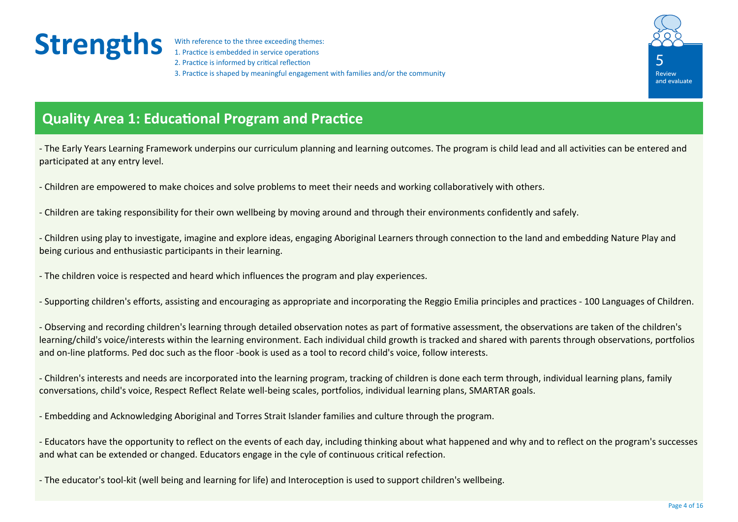1. Practice is embedded in service operations 2. Practice is informed by critical reflection 3. Practice is shaped by meaningful engagement with families and/or the community



### **Quality Area 1: Educational Program and Practice**

- The Early Years Learning Framework underpins our curriculum planning and learning outcomes. The program is child lead and all activities can be entered and participated at any entry level.

- Children are empowered to make choices and solve problems to meet their needs and working collaboratively with others.

- Children are taking responsibility for their own wellbeing by moving around and through their environments confidently and safely.

- Children using play to investigate, imagine and explore ideas, engaging Aboriginal Learners through connection to the land and embedding Nature Play and being curious and enthusiastic participants in their learning.

- The children voice is respected and heard which influences the program and play experiences.

- Supporting children's efforts, assisting and encouraging as appropriate and incorporating the Reggio Emilia principles and practices - 100 Languages of Children.

- Observing and recording children's learning through detailed observation notes as part of formative assessment, the observations are taken of the children's learning/child's voice/interests within the learning environment. Each individual child growth is tracked and shared with parents through observations, portfolios and on-line platforms. Ped doc such as the floor -book is used as a tool to record child's voice, follow interests.

- Children's interests and needs are incorporated into the learning program, tracking of children is done each term through, individual learning plans, family conversations, child's voice, Respect Reflect Relate well-being scales, portfolios, individual learning plans, SMARTAR goals.

- Embedding and Acknowledging Aboriginal and Torres Strait Islander families and culture through the program.

- Educators have the opportunity to reflect on the events of each day, including thinking about what happened and why and to reflect on the program's successes and what can be extended or changed. Educators engage in the cyle of continuous critical refection.

- The educator's tool-kit (well being and learning for life) and Interoception is used to support children's wellbeing.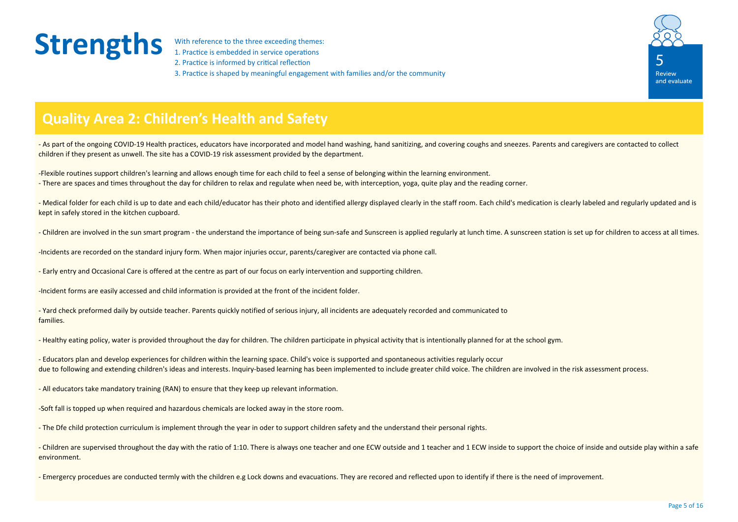1. Practice is embedded in service operations 2. Practice is informed by critical reflection 3. Practice is shaped by meaningful engagement with families and/or the community



#### **Quality Area 2: Children's Health and Safety**

- As part of the ongoing COVID-19 Health practices, educators have incorporated and model hand washing, hand sanitizing, and covering coughs and sneezes. Parents and caregivers are contacted to collect children if they present as unwell. The site has a COVID-19 risk assessment provided by the department.

-Flexible routines support children's learning and allows enough time for each child to feel a sense of belonging within the learning environment. - There are spaces and times throughout the day for children to relax and regulate when need be, with interception, yoga, quite play and the reading corner.

- Medical folder for each child is up to date and each child/educator has their photo and identified allergy displayed clearly in the staff room. Each child's medication is clearly labeled and regularly updated and is kept in safely stored in the kitchen cupboard.

- Children are involved in the sun smart program - the understand the importance of being sun-safe and Sunscreen is applied regularly at lunch time. A sunscreen station is set up for children to access at all times.

-Incidents are recorded on the standard injury form. When major injuries occur, parents/caregiver are contacted via phone call.

- Early entry and Occasional Care is offered at the centre as part of our focus on early intervention and supporting children.

-Incident forms are easily accessed and child information is provided at the front of the incident folder.

- Yard check preformed daily by outside teacher. Parents quickly notified of serious injury, all incidents are adequately recorded and communicated to families.

- Healthy eating policy, water is provided throughout the day for children. The children participate in physical activity that is intentionally planned for at the school gym.

- Educators plan and develop experiences for children within the learning space. Child's voice is supported and spontaneous activities regularly occur due to following and extending children's ideas and interests. Inquiry-based learning has been implemented to include greater child voice. The children are involved in the risk assessment process.

- All educators take mandatory training (RAN) to ensure that they keep up relevant information.

-Soft fall is topped up when required and hazardous chemicals are locked away in the store room.

- The Dfe child protection curriculum is implement through the year in oder to support children safety and the understand their personal rights.

- Children are supervised throughout the day with the ratio of 1:10. There is always one teacher and one ECW outside and 1 teacher and 1 ECW inside to support the choice of inside and outside play within a safe environment.

- Emergercy procedues are conducted termly with the children e.g Lock downs and evacuations. They are recored and reflected upon to identify if there is the need of improvement.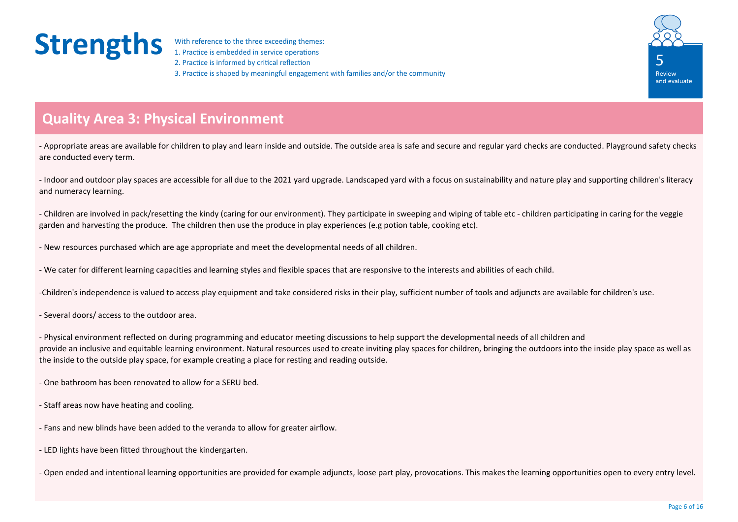1. Practice is embedded in service operations 2. Practice is informed by critical reflection 3. Practice is shaped by meaningful engagement with families and/or the community



### **Quality Area 3: Physical Environment**

- Appropriate areas are available for children to play and learn inside and outside. The outside area is safe and secure and regular yard checks are conducted. Playground safety checks are conducted every term.

- Indoor and outdoor play spaces are accessible for all due to the 2021 yard upgrade. Landscaped yard with a focus on sustainability and nature play and supporting children's literacy and numeracy learning.

- Children are involved in pack/resetting the kindy (caring for our environment). They participate in sweeping and wiping of table etc - children participating in caring for the veggie garden and harvesting the produce. The children then use the produce in play experiences (e.g potion table, cooking etc).

- New resources purchased which are age appropriate and meet the developmental needs of all children.

- We cater for different learning capacities and learning styles and flexible spaces that are responsive to the interests and abilities of each child.

-Children's independence is valued to access play equipment and take considered risks in their play, sufficient number of tools and adjuncts are available for children's use.

- Several doors/ access to the outdoor area.

- Physical environment reflected on during programming and educator meeting discussions to help support the developmental needs of all children and provide an inclusive and equitable learning environment. Natural resources used to create inviting play spaces for children, bringing the outdoors into the inside play space as well as the inside to the outside play space, for example creating a place for resting and reading outside.

- One bathroom has been renovated to allow for a SERU bed.

- Staff areas now have heating and cooling.
- Fans and new blinds have been added to the veranda to allow for greater airflow.
- LED lights have been fitted throughout the kindergarten.

- Open ended and intentional learning opportunities are provided for example adjuncts, loose part play, provocations. This makes the learning opportunities open to every entry level.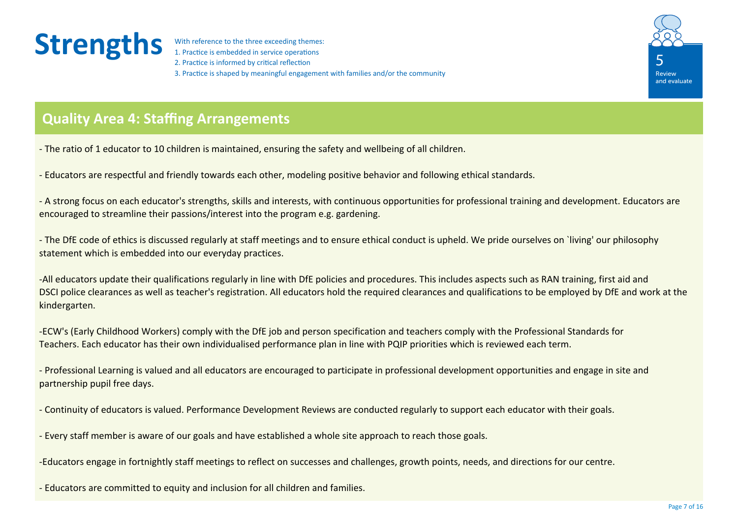1. Practice is embedded in service operations 2. Practice is informed by critical reflection 3. Practice is shaped by meaningful engagement with families and/or the community



### **Quality Area 4: Staffing Arrangements**

- The ratio of 1 educator to 10 children is maintained, ensuring the safety and wellbeing of all children.

- Educators are respectful and friendly towards each other, modeling positive behavior and following ethical standards.

- A strong focus on each educator's strengths, skills and interests, with continuous opportunities for professional training and development. Educators are encouraged to streamline their passions/interest into the program e.g. gardening.

- The DfE code of ethics is discussed regularly at staff meetings and to ensure ethical conduct is upheld. We pride ourselves on `living' our philosophy statement which is embedded into our everyday practices.

-All educators update their qualifications regularly in line with DfE policies and procedures. This includes aspects such as RAN training, first aid and DSCI police clearances as well as teacher's registration. All educators hold the required clearances and qualifications to be employed by DfE and work at the kindergarten.

-ECW's (Early Childhood Workers) comply with the DfE job and person specification and teachers comply with the Professional Standards for Teachers. Each educator has their own individualised performance plan in line with PQIP priorities which is reviewed each term.

- Professional Learning is valued and all educators are encouraged to participate in professional development opportunities and engage in site and partnership pupil free days.

- Continuity of educators is valued. Performance Development Reviews are conducted regularly to support each educator with their goals.

- Every staff member is aware of our goals and have established a whole site approach to reach those goals.

-Educators engage in fortnightly staff meetings to reflect on successes and challenges, growth points, needs, and directions for our centre.

- Educators are committed to equity and inclusion for all children and families.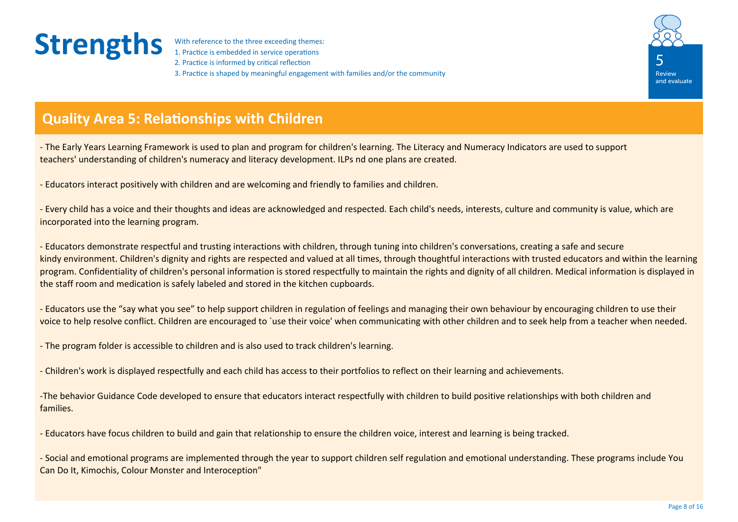1. Practice is embedded in service operations 2. Practice is informed by critical reflection 3. Practice is shaped by meaningful engagement with families and/or the community



### **Quality Area 5: Relationships with Children**

- The Early Years Learning Framework is used to plan and program for children's learning. The Literacy and Numeracy Indicators are used to support teachers' understanding of children's numeracy and literacy development. ILPs nd one plans are created.

- Educators interact positively with children and are welcoming and friendly to families and children.

- Every child has a voice and their thoughts and ideas are acknowledged and respected. Each child's needs, interests, culture and community is value, which are incorporated into the learning program.

- Educators demonstrate respectful and trusting interactions with children, through tuning into children's conversations, creating a safe and secure kindy environment. Children's dignity and rights are respected and valued at all times, through thoughtful interactions with trusted educators and within the learning program. Confidentiality of children's personal information is stored respectfully to maintain the rights and dignity of all children. Medical information is displayed in the staff room and medication is safely labeled and stored in the kitchen cupboards.

- Educators use the "say what you see" to help support children in regulation of feelings and managing their own behaviour by encouraging children to use their voice to help resolve conflict. Children are encouraged to `use their voice' when communicating with other children and to seek help from a teacher when needed.

- The program folder is accessible to children and is also used to track children's learning.

- Children's work is displayed respectfully and each child has access to their portfolios to reflect on their learning and achievements.

-The behavior Guidance Code developed to ensure that educators interact respectfully with children to build positive relationships with both children and families.

- Educators have focus children to build and gain that relationship to ensure the children voice, interest and learning is being tracked.

- Social and emotional programs are implemented through the year to support children self regulation and emotional understanding. These programs include You Can Do It, Kimochis, Colour Monster and Interoception"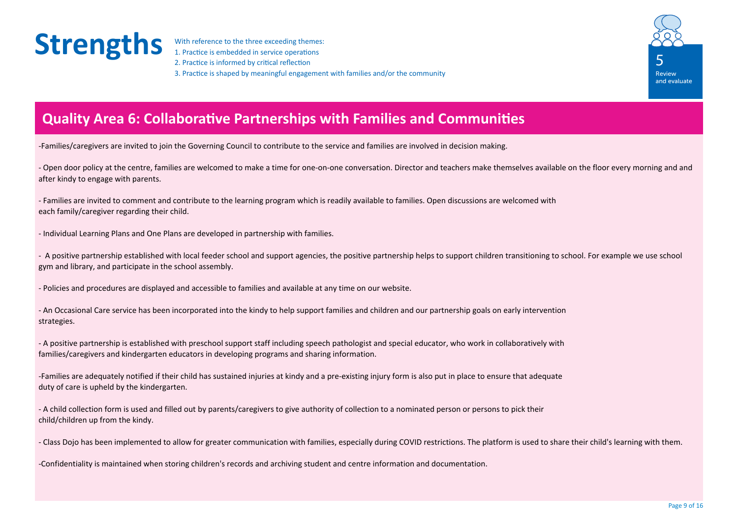1. Practice is embedded in service operations 2. Practice is informed by critical reflection 3. Practice is shaped by meaningful engagement with families and/or the community



### **Quality Area 6: Collaborative Partnerships with Families and Communities**

-Families/caregivers are invited to join the Governing Council to contribute to the service and families are involved in decision making.

- Open door policy at the centre, families are welcomed to make a time for one-on-one conversation. Director and teachers make themselves available on the floor every morning and and after kindy to engage with parents.

- Families are invited to comment and contribute to the learning program which is readily available to families. Open discussions are welcomed with each family/caregiver regarding their child.

- Individual Learning Plans and One Plans are developed in partnership with families.

- A positive partnership established with local feeder school and support agencies, the positive partnership helps to support children transitioning to school. For example we use school gym and library, and participate in the school assembly.

- Policies and procedures are displayed and accessible to families and available at any time on our website.

- An Occasional Care service has been incorporated into the kindy to help support families and children and our partnership goals on early intervention strategies.

- A positive partnership is established with preschool support staff including speech pathologist and special educator, who work in collaboratively with families/caregivers and kindergarten educators in developing programs and sharing information.

-Families are adequately notified if their child has sustained injuries at kindy and a pre-existing injury form is also put in place to ensure that adequate duty of care is upheld by the kindergarten.

- A child collection form is used and filled out by parents/caregivers to give authority of collection to a nominated person or persons to pick their child/children up from the kindy.

- Class Dojo has been implemented to allow for greater communication with families, especially during COVID restrictions. The platform is used to share their child's learning with them.

-Confidentiality is maintained when storing children's records and archiving student and centre information and documentation.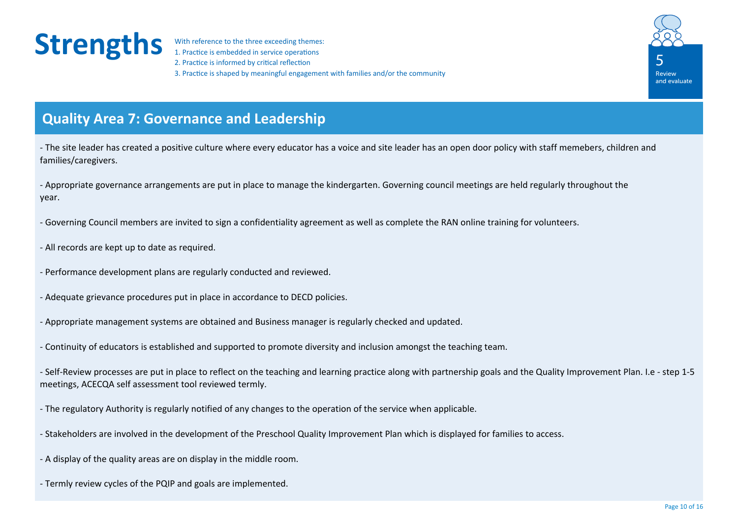1. Practice is embedded in service operations 2. Practice is informed by critical reflection 3. Practice is shaped by meaningful engagement with families and/or the community



### **Quality Area 7: Governance and Leadership**

- The site leader has created a positive culture where every educator has a voice and site leader has an open door policy with staff memebers, children and families/caregivers.

- Appropriate governance arrangements are put in place to manage the kindergarten. Governing council meetings are held regularly throughout the year.

- Governing Council members are invited to sign a confidentiality agreement as well as complete the RAN online training for volunteers.

- All records are kept up to date as required.
- Performance development plans are regularly conducted and reviewed.
- Adequate grievance procedures put in place in accordance to DECD policies.
- Appropriate management systems are obtained and Business manager is regularly checked and updated.
- Continuity of educators is established and supported to promote diversity and inclusion amongst the teaching team.

- Self-Review processes are put in place to reflect on the teaching and learning practice along with partnership goals and the Quality Improvement Plan. I.e - step 1-5 meetings, ACECQA self assessment tool reviewed termly.

- The regulatory Authority is regularly notified of any changes to the operation of the service when applicable.
- Stakeholders are involved in the development of the Preschool Quality Improvement Plan which is displayed for families to access.
- A display of the quality areas are on display in the middle room.
- Termly review cycles of the PQIP and goals are implemented.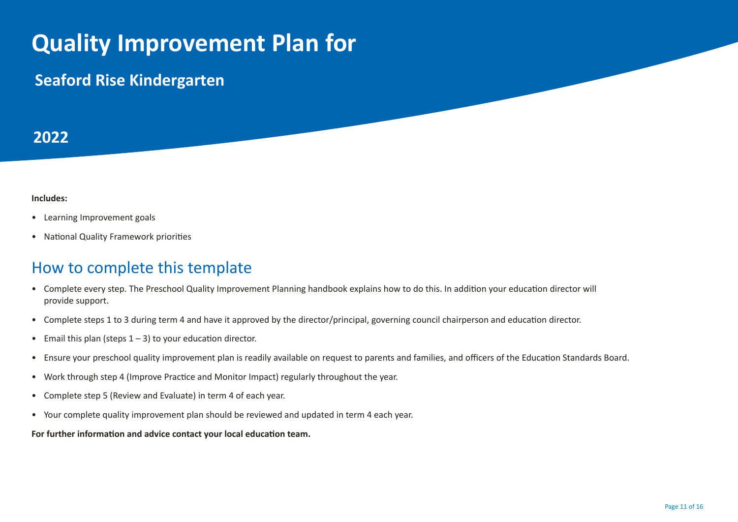## **Quality Improvement Plan for**

### **Seaford Rise Kindergarten**

#### **2022**

#### **Includes:**

- Learning Improvement goals
- National Quality Framework priorities

#### How to complete this template

- Complete every step. The Preschool Quality Improvement Planning handbook explains how to do this. In addition your education director will provide support.
- Complete steps 1 to 3 during term 4 and have it approved by the director/principal, governing council chairperson and education director.
- Email this plan (steps  $1 3$ ) to your education director.
- Ensure your preschool quality improvement plan is readily available on request to parents and families, and officers of the Education Standards Board.
- Work through step 4 (Improve Practice and Monitor Impact) regularly throughout the year.
- Complete step 5 (Review and Evaluate) in term 4 of each year.
- Your complete quality improvement plan should be reviewed and updated in term 4 each year.

**For further information and advice contact your local education team.**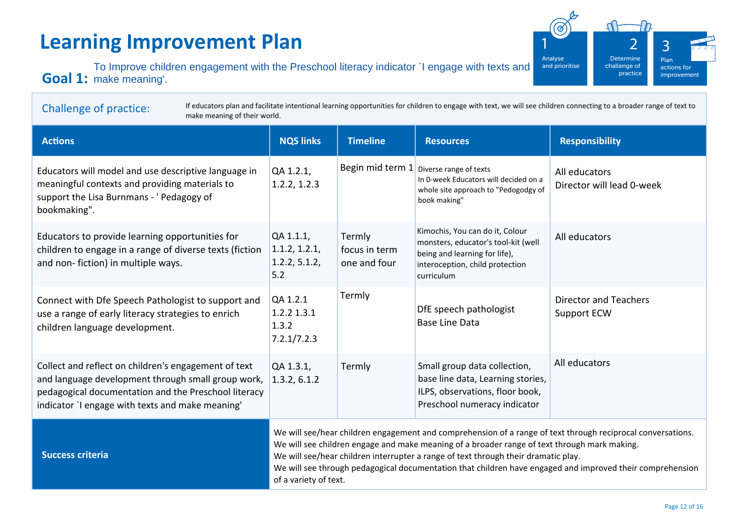### **Learning Improvement Plan**

Goal 1: make meaning'. To Improve children engagement with the Preschool literacy indicator `I engage with texts and

of a variety of text.



| If educators plan and facilitate intentional learning opportunities for children to engage with text, we will see children connecting to a broader range of text to<br><b>Challenge of practice:</b><br>make meaning of their world. |                                                                                                                                                                                                                                                                                                   |                                         |                                                                                                                                                          |                                                    |  |  |  |  |
|--------------------------------------------------------------------------------------------------------------------------------------------------------------------------------------------------------------------------------------|---------------------------------------------------------------------------------------------------------------------------------------------------------------------------------------------------------------------------------------------------------------------------------------------------|-----------------------------------------|----------------------------------------------------------------------------------------------------------------------------------------------------------|----------------------------------------------------|--|--|--|--|
| <b>Actions</b>                                                                                                                                                                                                                       | <b>NQS links</b>                                                                                                                                                                                                                                                                                  | <b>Timeline</b>                         | <b>Resources</b>                                                                                                                                         | <b>Responsibility</b>                              |  |  |  |  |
| Educators will model and use descriptive language in<br>meaningful contexts and providing materials to<br>support the Lisa Burnmans - ' Pedagogy of<br>bookmaking".                                                                  | QA 1.2.1,<br>1.2.2, 1.2.3                                                                                                                                                                                                                                                                         | Begin mid term 1                        | Diverse range of texts<br>In 0-week Educators will decided on a<br>whole site approach to "Pedogodgy of<br>book making"                                  | All educators<br>Director will lead 0-week         |  |  |  |  |
| Educators to provide learning opportunities for<br>children to engage in a range of diverse texts (fiction<br>and non-fiction) in multiple ways.                                                                                     | QA 1.1.1,<br>1.1.2, 1.2.1,<br>1.2.2, 5.1.2,<br>5.2                                                                                                                                                                                                                                                | Termly<br>focus in term<br>one and four | Kimochis, You can do it, Colour<br>monsters, educator's tool-kit (well<br>being and learning for life),<br>interoception, child protection<br>curriculum | All educators                                      |  |  |  |  |
| Connect with Dfe Speech Pathologist to support and<br>use a range of early literacy strategies to enrich<br>children language development.                                                                                           | QA 1.2.1<br>1.2.2 1.3.1<br>1.3.2<br>7.2.1/7.2.3                                                                                                                                                                                                                                                   | Termly                                  | DfE speech pathologist<br><b>Base Line Data</b>                                                                                                          | <b>Director and Teachers</b><br><b>Support ECW</b> |  |  |  |  |
| Collect and reflect on children's engagement of text<br>and language development through small group work,<br>pedagogical documentation and the Preschool literacy<br>indicator `I engage with texts and make meaning'               | QA 1.3.1,<br>1.3.2, 6.1.2                                                                                                                                                                                                                                                                         | Termly                                  | Small group data collection,<br>base line data, Learning stories,<br>ILPS, observations, floor book,<br>Preschool numeracy indicator                     | All educators                                      |  |  |  |  |
| <b>Success criteria</b>                                                                                                                                                                                                              | We will see/hear children engagement and comprehension of a range of text through reciprocal conversations.<br>We will see children engage and make meaning of a broader range of text through mark making.<br>We will see/hear children interrupter a range of text through their dramatic play. |                                         |                                                                                                                                                          |                                                    |  |  |  |  |

We will see through pedagogical documentation that children have engaged and improved their comprehension

Page 12 of 16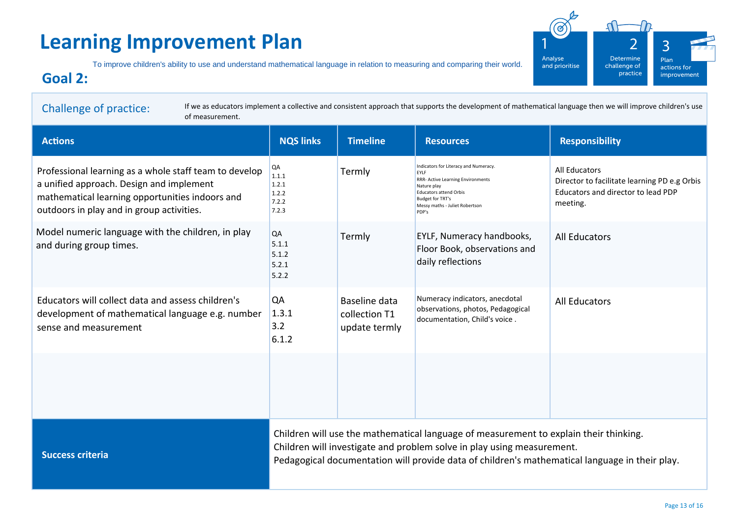### **Learning Improvement Plan**

To improve children's ability to use and understand mathematical language in relation to measuring and comparing their world.

#### **Goal 2:**

Challenge of practice: **Actions NQS links Timeline Resources Responsibility Success criteria** If we as educators implement a collective and consistent approach that supports the development of mathematical language then we will improve children's use of measurement. Professional learning as a whole staff team to develop a unified approach. Design and implement mathematical learning opportunities indoors and outdoors in play and in group activities. Model numeric language with the children, in play and during group times. Educators will collect data and assess children's development of mathematical language e.g. number sense and measurement QA 1.1.1  $1.2.1$  $1.2.2$ 7.2.2 7.2.3 QA 5.1.1  $5.1.2$ 5.2.1  $5.2.2$ QA 1.3.1 3.2 6.1.2 **Termly Termly** Baseline data collection T1 update termly Indicators for Literacy and Numeracy. EYLF **RRR- Active Learning Environments** Nature play Educators attend Orbis Budget for TRT's Messy maths - Juliet Robertson PDP's EYLF, Numeracy handbooks, Floor Book, observations and daily reflections Numeracy indicators, anecdotal observations, photos, Pedagogical documentation, Child's voice . All Educators Director to facilitate learning PD e.g Orbis Educators and director to lead PDP meeting. All Educators All Educators Children will use the mathematical language of measurement to explain their thinking. Children will investigate and problem solve in play using measurement. Pedagogical documentation will provide data of children's mathematical language in their play.

Plan actions for improvement

Determine challenge of practice

Analyse and prioritise 2

3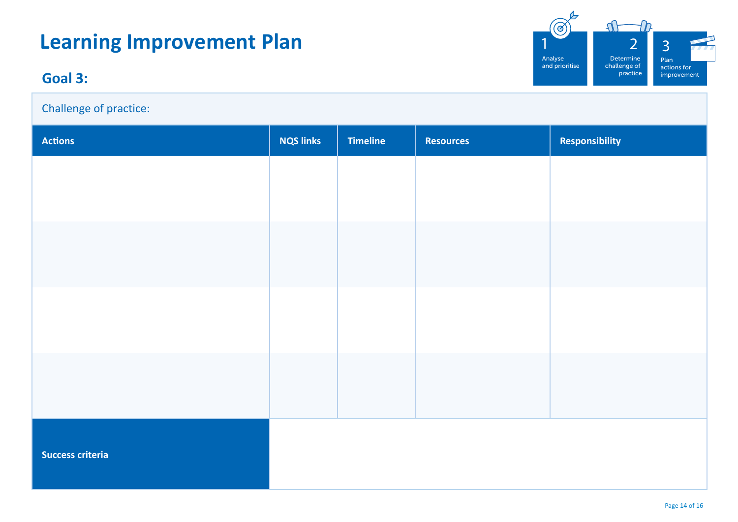### **Learning Improvement Plan**

### **Goal 3:**

Challenge of practice:



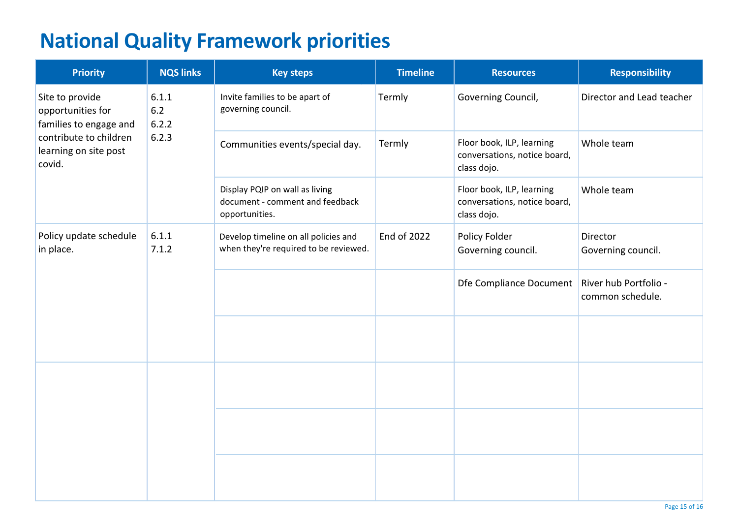### **National Quality Framework priorities**

| <b>Priority</b>                                                                                                             | <b>NQS links</b>                 | <b>Key steps</b>                                                                    | <b>Timeline</b>    | <b>Resources</b>                                                         | <b>Responsibility</b>                     |
|-----------------------------------------------------------------------------------------------------------------------------|----------------------------------|-------------------------------------------------------------------------------------|--------------------|--------------------------------------------------------------------------|-------------------------------------------|
| Site to provide<br>opportunities for<br>families to engage and<br>contribute to children<br>learning on site post<br>covid. | 6.1.1<br>$6.2$<br>6.2.2<br>6.2.3 | Invite families to be apart of<br>governing council.                                | Termly             | Governing Council,                                                       | Director and Lead teacher                 |
|                                                                                                                             |                                  | Communities events/special day.                                                     | Termly             | Floor book, ILP, learning<br>conversations, notice board,<br>class dojo. | Whole team                                |
|                                                                                                                             |                                  | Display PQIP on wall as living<br>document - comment and feedback<br>opportunities. |                    | Floor book, ILP, learning<br>conversations, notice board,<br>class dojo. | Whole team                                |
| Policy update schedule<br>in place.                                                                                         | 6.1.1<br>7.1.2                   | Develop timeline on all policies and<br>when they're required to be reviewed.       | <b>End of 2022</b> | Policy Folder<br>Governing council.                                      | Director<br>Governing council.            |
|                                                                                                                             |                                  |                                                                                     |                    | Dfe Compliance Document                                                  | River hub Portfolio -<br>common schedule. |
|                                                                                                                             |                                  |                                                                                     |                    |                                                                          |                                           |
|                                                                                                                             |                                  |                                                                                     |                    |                                                                          |                                           |
|                                                                                                                             |                                  |                                                                                     |                    |                                                                          |                                           |
|                                                                                                                             |                                  |                                                                                     |                    |                                                                          |                                           |